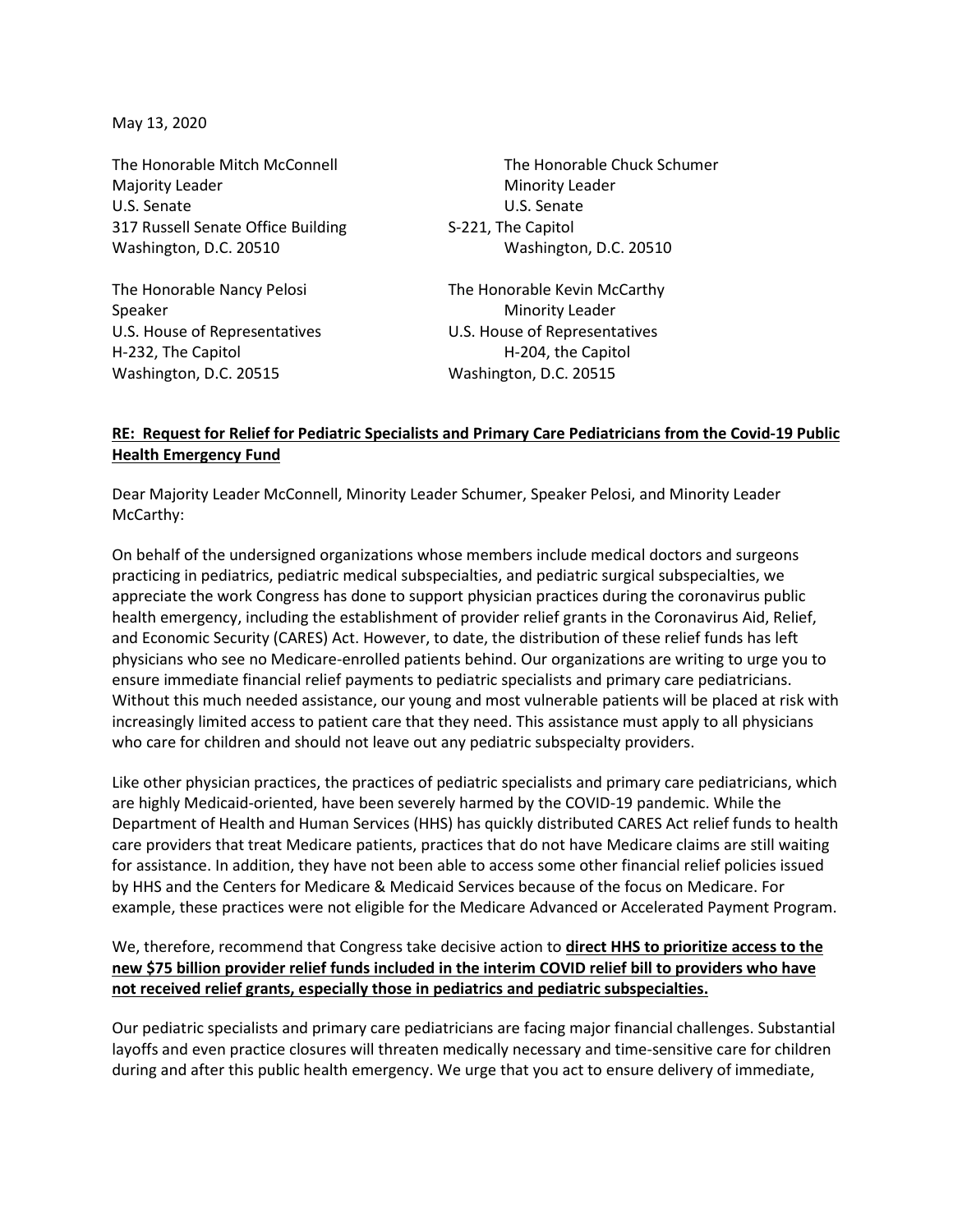May 13, 2020

Majority Leader **Minority Leader** Minority Leader U.S. Senate U.S. Senate 317 Russell Senate Office Building S-221, The Capitol Washington, D.C. 20510 Washington, D.C. 20510

Speaker Minority Leader H-232, The Capitol **H-204**, the Capitol Washington, D.C. 20515 Washington, D.C. 20515

The Honorable Mitch McConnell The Honorable Chuck Schumer

The Honorable Nancy Pelosi The Honorable Kevin McCarthy U.S. House of Representatives U.S. House of Representatives

## **RE: Request for Relief for Pediatric Specialists and Primary Care Pediatricians from the Covid-19 Public Health Emergency Fund**

Dear Majority Leader McConnell, Minority Leader Schumer, Speaker Pelosi, and Minority Leader McCarthy:

On behalf of the undersigned organizations whose members include medical doctors and surgeons practicing in pediatrics, pediatric medical subspecialties, and pediatric surgical subspecialties, we appreciate the work Congress has done to support physician practices during the coronavirus public health emergency, including the establishment of provider relief grants in the Coronavirus Aid, Relief, and Economic Security (CARES) Act. However, to date, the distribution of these relief funds has left physicians who see no Medicare-enrolled patients behind. Our organizations are writing to urge you to ensure immediate financial relief payments to pediatric specialists and primary care pediatricians. Without this much needed assistance, our young and most vulnerable patients will be placed at risk with increasingly limited access to patient care that they need. This assistance must apply to all physicians who care for children and should not leave out any pediatric subspecialty providers.

Like other physician practices, the practices of pediatric specialists and primary care pediatricians, which are highly Medicaid-oriented, have been severely harmed by the COVID-19 pandemic. While the Department of Health and Human Services (HHS) has quickly distributed CARES Act relief funds to health care providers that treat Medicare patients, practices that do not have Medicare claims are still waiting for assistance. In addition, they have not been able to access some other financial relief policies issued by HHS and the Centers for Medicare & Medicaid Services because of the focus on Medicare. For example, these practices were not eligible for the Medicare Advanced or Accelerated Payment Program.

## We, therefore, recommend that Congress take decisive action to **direct HHS to prioritize access to the new \$75 billion provider relief funds included in the interim COVID relief bill to providers who have not received relief grants, especially those in pediatrics and pediatric subspecialties.**

Our pediatric specialists and primary care pediatricians are facing major financial challenges. Substantial layoffs and even practice closures will threaten medically necessary and time-sensitive care for children during and after this public health emergency. We urge that you act to ensure delivery of immediate,